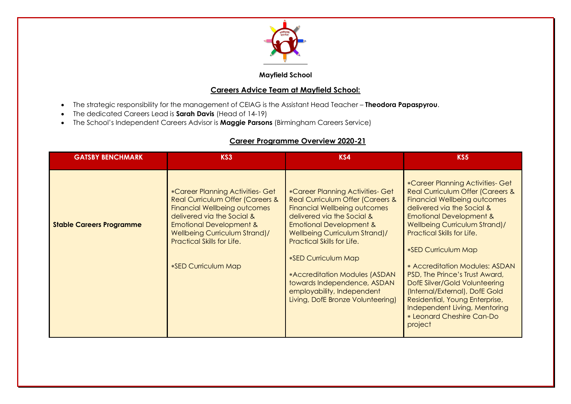

## **Mayfield School**

## **Careers Advice Team at Mayfield School:**

- The strategic responsibility for the management of CEIAG is the Assistant Head Teacher **Theodora Papaspyrou**.
- The dedicated Careers Lead is **Sarah Davis** (Head of 14-19)
- The School's Independent Careers Advisor is **Maggie Parsons** (Birmingham Careers Service)

## **Career Programme Overview 2020-21**

| <b>GATSBY BENCHMARK</b>         | KS3                                                                                                                                                                                                                                                                                            | KS4                                                                                                                                                                                                                                                                                                                                                                                                                    | KS5                                                                                                                                                                                                                                                                                                                                                                                                                                                                                                                                       |
|---------------------------------|------------------------------------------------------------------------------------------------------------------------------------------------------------------------------------------------------------------------------------------------------------------------------------------------|------------------------------------------------------------------------------------------------------------------------------------------------------------------------------------------------------------------------------------------------------------------------------------------------------------------------------------------------------------------------------------------------------------------------|-------------------------------------------------------------------------------------------------------------------------------------------------------------------------------------------------------------------------------------------------------------------------------------------------------------------------------------------------------------------------------------------------------------------------------------------------------------------------------------------------------------------------------------------|
| <b>Stable Careers Programme</b> | *Career Planning Activities- Get<br><b>Real Curriculum Offer (Careers &amp;</b><br><b>Financial Wellbeing outcomes</b><br>delivered via the Social &<br><b>Emotional Development &amp;</b><br><b>Wellbeing Curriculum Strand)/</b><br><b>Practical Skills for Life.</b><br>*SED Curriculum Map | *Career Planning Activities- Get<br>Real Curriculum Offer (Careers &<br><b>Financial Wellbeing outcomes</b><br>delivered via the Social &<br><b>Emotional Development &amp;</b><br><b>Wellbeing Curriculum Strand)/</b><br><b>Practical Skills for Life.</b><br>*SED Curriculum Map<br>*Accreditation Modules (ASDAN<br>towards Independence, ASDAN<br>employability, Independent<br>Living, DofE Bronze Volunteering) | *Career Planning Activities- Get<br><b>Real Curriculum Offer (Careers &amp;</b><br><b>Financial Wellbeing outcomes</b><br>delivered via the Social &<br><b>Emotional Development &amp;</b><br><b>Wellbeing Curriculum Strand)/</b><br>Practical Skills for Life.<br>*SED Curriculum Map<br>* Accreditation Modules: ASDAN<br>PSD, The Prince's Trust Award,<br>DofE Silver/Gold Volunteering<br>(Internal/External), DofE Gold<br>Residential, Young Enterprise,<br>Independent Living, Mentoring<br>* Leonard Cheshire Can-Do<br>project |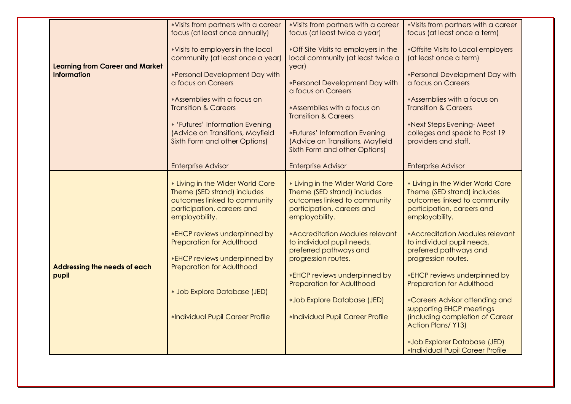|                                                              | *Visits from partners with a career                                                                                                                                                                                                                                                                                                                         | *Visits from partners with a career                                                                                                                                                                                                                                                                                                                                                                      | *Visits from partners with a career                                                                                                                                                                                                                                                                                                                                                                                                                         |
|--------------------------------------------------------------|-------------------------------------------------------------------------------------------------------------------------------------------------------------------------------------------------------------------------------------------------------------------------------------------------------------------------------------------------------------|----------------------------------------------------------------------------------------------------------------------------------------------------------------------------------------------------------------------------------------------------------------------------------------------------------------------------------------------------------------------------------------------------------|-------------------------------------------------------------------------------------------------------------------------------------------------------------------------------------------------------------------------------------------------------------------------------------------------------------------------------------------------------------------------------------------------------------------------------------------------------------|
|                                                              | focus (at least once annually)                                                                                                                                                                                                                                                                                                                              | focus (at least twice a year)                                                                                                                                                                                                                                                                                                                                                                            | focus (at least once a term)                                                                                                                                                                                                                                                                                                                                                                                                                                |
| <b>Learning from Career and Market</b><br><b>Information</b> | *Visits to employers in the local<br>community (at least once a year)<br>*Personal Development Day with<br>a focus on Careers<br>*Assemblies with a focus on<br><b>Transition &amp; Careers</b><br>* 'Futures' Information Evening<br>(Advice on Transitions, Mayfield<br>Sixth Form and other Options)                                                     | *Off Site Visits to employers in the<br>local community (at least twice a<br>year)<br>*Personal Development Day with<br>a focus on Careers<br>*Assemblies with a focus on<br><b>Transition &amp; Careers</b><br>*Futures' Information Evening<br>(Advice on Transitions, Mayfield<br>Sixth Form and other Options)                                                                                       | *Offsite Visits to Local employers<br>(at least once a term)<br>*Personal Development Day with<br>a focus on Careers<br>*Assemblies with a focus on<br><b>Transition &amp; Careers</b><br>*Next Steps Evening-Meet<br>colleges and speak to Post 19<br>providers and staff.                                                                                                                                                                                 |
|                                                              | <b>Enterprise Advisor</b>                                                                                                                                                                                                                                                                                                                                   | <b>Enterprise Advisor</b>                                                                                                                                                                                                                                                                                                                                                                                | <b>Enterprise Advisor</b>                                                                                                                                                                                                                                                                                                                                                                                                                                   |
| Addressing the needs of each<br>pupil                        | * Living in the Wider World Core<br>Theme (SED strand) includes<br>outcomes linked to community<br>participation, careers and<br>employability.<br>*EHCP reviews underpinned by<br><b>Preparation for Adulthood</b><br>*EHCP reviews underpinned by<br><b>Preparation for Adulthood</b><br>* Job Explore Database (JED)<br>*Individual Pupil Career Profile | * Living in the Wider World Core<br>Theme (SED strand) includes<br>outcomes linked to community<br>participation, careers and<br>employability.<br>*Accreditation Modules relevant<br>to individual pupil needs,<br>preferred pathways and<br>progression routes.<br>*EHCP reviews underpinned by<br><b>Preparation for Adulthood</b><br>*Job Explore Database (JED)<br>*Individual Pupil Career Profile | * Living in the Wider World Core<br>Theme (SED strand) includes<br>outcomes linked to community<br>participation, careers and<br>employability.<br>*Accreditation Modules relevant<br>to individual pupil needs,<br>preferred pathways and<br>progression routes.<br>*EHCP reviews underpinned by<br><b>Preparation for Adulthood</b><br>*Careers Advisor attending and<br>supporting EHCP meetings<br>(including completion of Career<br>Action Plans/Y13) |
|                                                              |                                                                                                                                                                                                                                                                                                                                                             |                                                                                                                                                                                                                                                                                                                                                                                                          | *Job Explorer Database (JED)<br>*Individual Pupil Career Profile                                                                                                                                                                                                                                                                                                                                                                                            |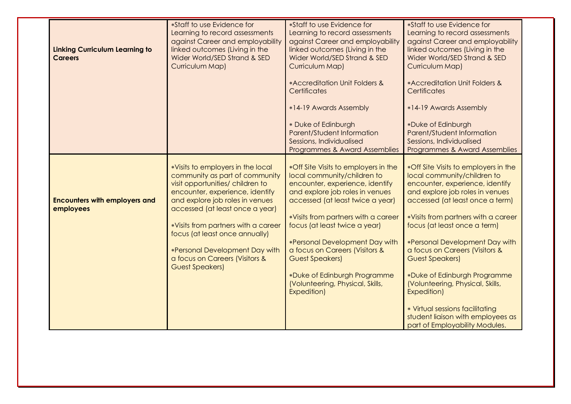| <b>Linking Curriculum Learning to</b><br><b>Careers</b> | *Staff to use Evidence for<br>Learning to record assessments<br>against Career and employability<br>linked outcomes (Living in the<br>Wider World/SED Strand & SED<br>Curriculum Map)                            | *Staff to use Evidence for<br>Learning to record assessments<br>against Career and employability<br>linked outcomes (Living in the<br>Wider World/SED Strand & SED<br>Curriculum Map) | *Staff to use Evidence for<br>Learning to record assessments<br>against Career and employability<br>linked outcomes (Living in the<br>Wider World/SED Strand & SED<br>Curriculum Map) |
|---------------------------------------------------------|------------------------------------------------------------------------------------------------------------------------------------------------------------------------------------------------------------------|---------------------------------------------------------------------------------------------------------------------------------------------------------------------------------------|---------------------------------------------------------------------------------------------------------------------------------------------------------------------------------------|
|                                                         |                                                                                                                                                                                                                  | *Accreditation Unit Folders &<br>Certificates                                                                                                                                         | *Accreditation Unit Folders &<br>Certificates                                                                                                                                         |
|                                                         |                                                                                                                                                                                                                  | *14-19 Awards Assembly<br>* Duke of Edinburgh<br>Parent/Student Information                                                                                                           | *14-19 Awards Assembly<br>*Duke of Edinburgh<br>Parent/Student Information                                                                                                            |
|                                                         |                                                                                                                                                                                                                  | Sessions, Individualised<br>Programmes & Award Assemblies                                                                                                                             | Sessions, Individualised<br>Programmes & Award Assemblies                                                                                                                             |
| <b>Encounters with employers and</b><br>employees       | *Visits to employers in the local<br>community as part of community<br>visit opportunities/ children to<br>encounter, experience, identify<br>and explore job roles in venues<br>accessed (at least once a year) | *Off Site Visits to employers in the<br>local community/children to<br>encounter, experience, identify<br>and explore job roles in venues<br>accessed (at least twice a year)         | *Off Site Visits to employers in the<br>local community/children to<br>encounter, experience, identify<br>and explore job roles in venues<br>accessed (at least once a term)          |
|                                                         | *Visits from partners with a career<br>focus (at least once annually)                                                                                                                                            | *Visits from partners with a career<br>focus (at least twice a year)                                                                                                                  | *Visits from partners with a career<br>focus (at least once a term)                                                                                                                   |
|                                                         | *Personal Development Day with<br>a focus on Careers (Visitors &<br><b>Guest Speakers)</b>                                                                                                                       | *Personal Development Day with<br>a focus on Careers (Visitors &<br><b>Guest Speakers)</b>                                                                                            | *Personal Development Day with<br>a focus on Careers (Visitors &<br><b>Guest Speakers)</b>                                                                                            |
|                                                         |                                                                                                                                                                                                                  | *Duke of Edinburgh Programme<br>(Volunteering, Physical, Skills,<br>Expedition)                                                                                                       | *Duke of Edinburgh Programme<br>(Volunteering, Physical, Skills,<br>Expedition)                                                                                                       |
|                                                         |                                                                                                                                                                                                                  |                                                                                                                                                                                       | * Virtual sessions facilitating<br>student liaison with employees as<br>part of Employability Modules.                                                                                |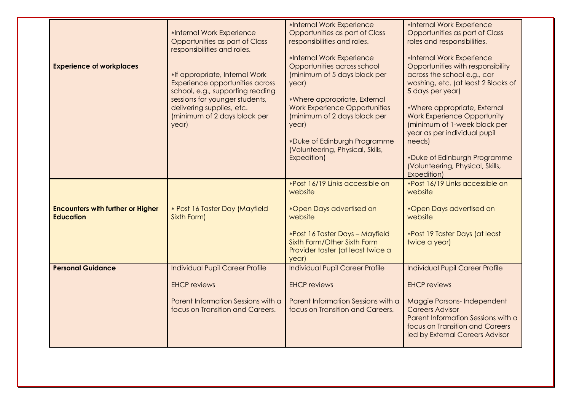|                                                              | *Internal Work Experience<br>Opportunities as part of Class<br>responsibilities and roles.                                                                                                                    | *Internal Work Experience<br>Opportunities as part of Class<br>responsibilities and roles.                                                                                                                                                                                                            | *Internal Work Experience<br>Opportunities as part of Class<br>roles and responsibilities.                                                                                                                                                                                                                                                                                                  |
|--------------------------------------------------------------|---------------------------------------------------------------------------------------------------------------------------------------------------------------------------------------------------------------|-------------------------------------------------------------------------------------------------------------------------------------------------------------------------------------------------------------------------------------------------------------------------------------------------------|---------------------------------------------------------------------------------------------------------------------------------------------------------------------------------------------------------------------------------------------------------------------------------------------------------------------------------------------------------------------------------------------|
| <b>Experience of workplaces</b>                              | *If appropriate, Internal Work<br>Experience opportunities across<br>school, e.g., supporting reading<br>sessions for younger students,<br>delivering supplies, etc.<br>(minimum of 2 days block per<br>year) | *Internal Work Experience<br>Opportunities across school<br>(minimum of 5 days block per<br>year)<br>*Where appropriate, External<br><b>Work Experience Opportunities</b><br>(minimum of 2 days block per<br>year)<br>*Duke of Edinburgh Programme<br>(Volunteering, Physical, Skills,<br>Expedition) | *Internal Work Experience<br>Opportunities with responsibility<br>across the school e.g., car<br>washing, etc. (at least 2 Blocks of<br>5 days per year)<br>*Where appropriate, External<br><b>Work Experience Opportunity</b><br>(minimum of 1-week block per<br>year as per individual pupil<br>needs)<br>*Duke of Edinburgh Programme<br>(Volunteering, Physical, Skills,<br>Expedition) |
|                                                              |                                                                                                                                                                                                               | *Post 16/19 Links accessible on<br>website                                                                                                                                                                                                                                                            | *Post 16/19 Links accessible on<br>website                                                                                                                                                                                                                                                                                                                                                  |
| <b>Encounters with further or Higher</b><br><b>Education</b> | * Post 16 Taster Day (Mayfield<br>Sixth Form)                                                                                                                                                                 | *Open Days advertised on<br>website                                                                                                                                                                                                                                                                   | *Open Days advertised on<br>website                                                                                                                                                                                                                                                                                                                                                         |
|                                                              |                                                                                                                                                                                                               | *Post 16 Taster Days - Mayfield<br>Sixth Form/Other Sixth Form<br>Provider taster (at least twice a<br>year)                                                                                                                                                                                          | *Post 19 Taster Days (at least<br>twice a year)                                                                                                                                                                                                                                                                                                                                             |
| <b>Personal Guidance</b>                                     | <b>Individual Pupil Career Profile</b>                                                                                                                                                                        | <b>Individual Pupil Career Profile</b>                                                                                                                                                                                                                                                                | <b>Individual Pupil Career Profile</b>                                                                                                                                                                                                                                                                                                                                                      |
|                                                              | <b>EHCP</b> reviews                                                                                                                                                                                           | <b>EHCP</b> reviews                                                                                                                                                                                                                                                                                   | <b>EHCP</b> reviews                                                                                                                                                                                                                                                                                                                                                                         |
|                                                              | Parent Information Sessions with a<br>focus on Transition and Careers.                                                                                                                                        | Parent Information Sessions with a<br>focus on Transition and Careers.                                                                                                                                                                                                                                | Maggie Parsons-Independent<br><b>Careers Advisor</b><br>Parent Information Sessions with a<br>focus on Transition and Careers<br>led by External Careers Advisor                                                                                                                                                                                                                            |